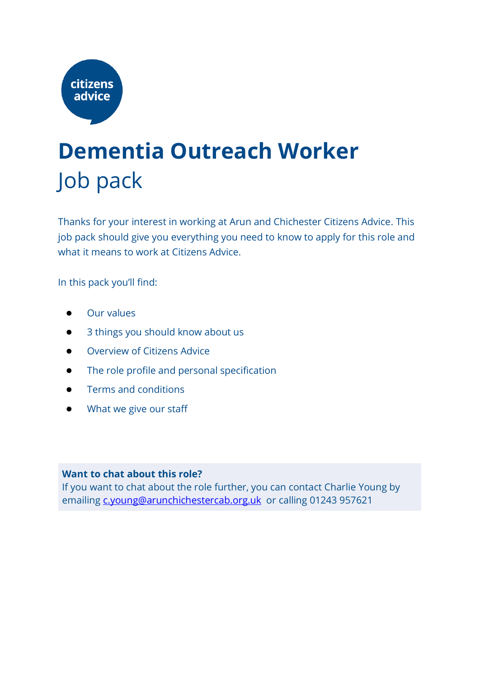

## **Dementia Outreach Worker**  Job pack

Thanks for your interest in working at Arun and Chichester Citizens Advice. This job pack should give you everything you need to know to apply for this role and what it means to work at Citizens Advice.

In this pack you'll find:

- **Our values**
- 3 things you should know about us
- Overview of Citizens Advice
- The role profile and personal specification
- Terms and conditions
- What we give our staff

#### **Want to chat about this role?**

If you want to chat about the role further, you can contact Charlie Young by emailing [c.young@arunchichestercab.org.uk](mailto:d.colclough@arunchichestercab.org.uk) or calling 01243 957621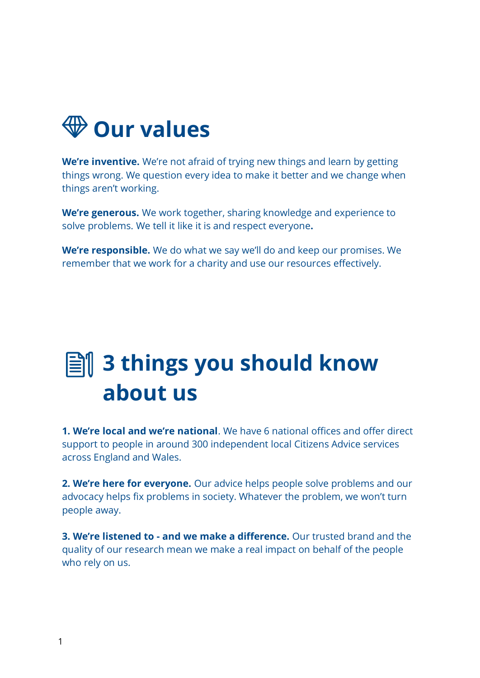

**We're inventive.** We're not afraid of trying new things and learn by getting things wrong. We question every idea to make it better and we change when things aren't working.

**We're generous.** We work together, sharing knowledge and experience to solve problems. We tell it like it is and respect everyone**.**

**We're responsible.** We do what we say we'll do and keep our promises. We remember that we work for a charity and use our resources effectively.

## **3 things you should know about us**

**1. We're local and we're national**. We have 6 national offices and offer direct support to people in around 300 independent local Citizens Advice services across England and Wales.

**2. We're here for everyone.** Our advice helps people solve problems and our advocacy helps fix problems in society. Whatever the problem, we won't turn people away.

**3. We're listened to - and we make a difference.** Our trusted brand and the quality of our research mean we make a real impact on behalf of the people who rely on us.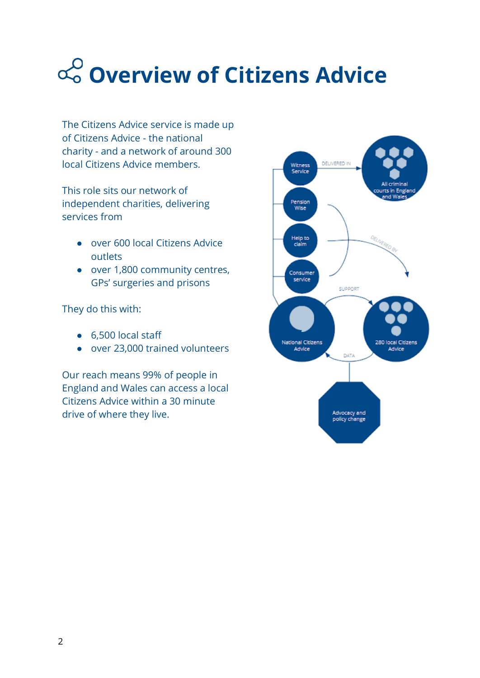# **Overview of Citizens Advice**

The Citizens Advice service is made up of Citizens Advice - the national charity - and a network of around 300 local Citizens Advice members.

This role sits our network of independent charities, delivering services from

- over 600 local Citizens Advice outlets
- over 1,800 community centres, GPs' surgeries and prisons

They do this with:

- 6,500 local staff
- over 23,000 trained volunteers

Our reach means 99% of people in England and Wales can access a local Citizens Advice within a 30 minute drive of where they live.

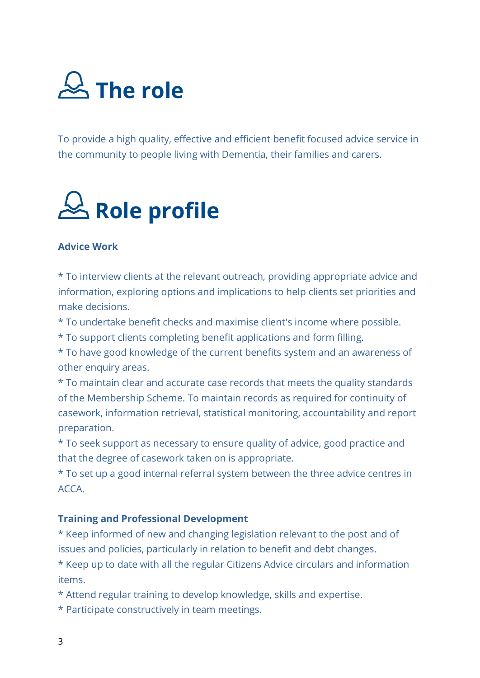

To provide a high quality, effective and efficient benefit focused advice service in the community to people living with Dementia, their families and carers.

# **Role profile**

#### **Advice Work**

\* To interview clients at the relevant outreach, providing appropriate advice and information, exploring options and implications to help clients set priorities and make decisions.

- \* To undertake benefit checks and maximise client's income where possible.
- \* To support clients completing benefit applications and form filling.

\* To have good knowledge of the current benefits system and an awareness of other enquiry areas.

\* To maintain clear and accurate case records that meets the quality standards of the Membership Scheme. To maintain records as required for continuity of casework, information retrieval, statistical monitoring, accountability and report preparation.

\* To seek support as necessary to ensure quality of advice, good practice and that the degree of casework taken on is appropriate.

\* To set up a good internal referral system between the three advice centres in ACCA.

#### **Training and Professional Development**

\* Keep informed of new and changing legislation relevant to the post and of issues and policies, particularly in relation to benefit and debt changes.

\* Keep up to date with all the regular Citizens Advice circulars and information items.

- \* Attend regular training to develop knowledge, skills and expertise.
- \* Participate constructively in team meetings.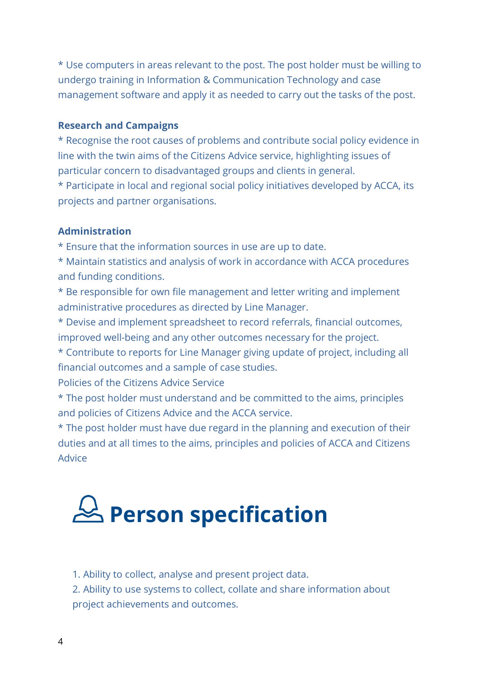\* Use computers in areas relevant to the post. The post holder must be willing to undergo training in Information & Communication Technology and case management software and apply it as needed to carry out the tasks of the post.

#### **Research and Campaigns**

\* Recognise the root causes of problems and contribute social policy evidence in line with the twin aims of the Citizens Advice service, highlighting issues of particular concern to disadvantaged groups and clients in general.

\* Participate in local and regional social policy initiatives developed by ACCA, its projects and partner organisations.

#### **Administration**

\* Ensure that the information sources in use are up to date.

\* Maintain statistics and analysis of work in accordance with ACCA procedures and funding conditions.

\* Be responsible for own file management and letter writing and implement administrative procedures as directed by Line Manager.

\* Devise and implement spreadsheet to record referrals, financial outcomes, improved well-being and any other outcomes necessary for the project.

\* Contribute to reports for Line Manager giving update of project, including all financial outcomes and a sample of case studies.

Policies of the Citizens Advice Service

\* The post holder must understand and be committed to the aims, principles and policies of Citizens Advice and the ACCA service.

\* The post holder must have due regard in the planning and execution of their duties and at all times to the aims, principles and policies of ACCA and Citizens Advice

## **Person specification**

1. Ability to collect, analyse and present project data.

2. Ability to use systems to collect, collate and share information about project achievements and outcomes.